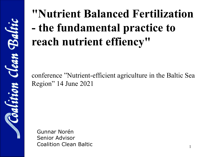# **"Nutrient Balanced Fertilization - the fundamental practice to reach nutrient effiency"**

conference "Nutrient-efficient agriculture in the Baltic Sea Region" 14 June 2021

Gunnar Norén Senior Advisor Coalition Clean Baltic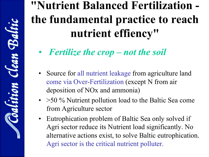## **"Nutrient Balanced Fertilization the fundamental practice to reach nutrient effiency"**

- *Fertilize the crop – not the soil*
- Source for all nutrient leakage from agriculture land come via Over-Fertilization (except N from air deposition of NOx and ammonia)
- > 50 % Nutrient pollution load to the Baltic Sea come from Agriculture sector
- Eutrophication problem of Baltic Sea only solved if Agri sector reduce its Nutrient load significantly. No alternative actions exist, to solve Baltic eutrophication. Agri sector is the critical nutrient polluter.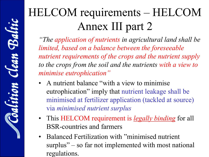## HELCOM requirements – HELCOM Annex III part 2

*"The application of nutrients in agricultural land shall be limited, based on a balance between the foreseeable nutrient requirements of the crops and the nutrient supply to the crops from the soil and the nutrients with a view to minimise eutrophication"*

- A nutrient balance "with a view to minimise eutrophication" imply that nutrient leakage shall be minimised at fertilizer application (tackled at source) via *minimised nutrient surplus*
- This HELCOM requirement is *legally binding* for all BSR-countries and farmers
- Balanced Fertilization with "minimised nutrient surplus" – so far not implemented with most national regulations.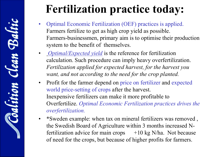### **Fertilization practice today:**

- Optimal Economic Fertilization (OEF) practices is applied. Farmers fertilize to get as high crop yield as possible. Farmers-businessmen, primary aim is to optimise their production system to the benefit of themselves.
- *Optimal/Expected yield* is the reference for fertilization calculation. Such procedure can imply heavy overfertilization. *Fertilization applied for expected harvest, for the harvest you want, and not according to the need for the crop planted.*
- Profit for the farmer depend on price on fertilizer and expected world price-setting of crops after the harvest. Inexpensive fertilizers can make it more profitable to Overfertilize. *Optimal Economic Fertilization practices drives the overfertilization.*
- \*Sweden example: when tax on mineral fertilizers was removed , the Swedish Board of Agriculture within 3 months increased Nfertilization advice for main crops  $+10$  kg N/ha. Not because of need for the crops, but because of higher profits for farmers.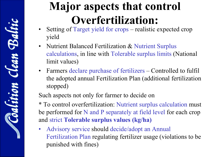### **Major aspects that control Overfertilization:**

- Setting of Target yield for crops realistic expected crop yield
- Nutrient Balanced Fertilization & Nutrient Surplus calculations, in line with Tolerable surplus limits (National limit values)
- Farmers declare purchase of fertilizers Controlled to fulfil the adopted annual Fertilization Plan (additional fertilization stopped)

Such aspects not only for farmer to decide on

\* To control overfertilization: Nutrient surplus calculation must be performed for N and P separately at field level for each crop and strict **Tolerable surplus values (kg/ha)**

• Advisory service should decide/adopt an Annual Fertilization Plan regulating fertilizer usage (violations to be punished with fines)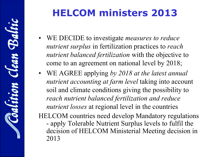### **HELCOM ministers 2013**

- WE DECIDE to investigate *measures to reduce nutrient surplus* in fertilization practices to *reach nutrient balanced fertilization* with the objective to come to an agreement on national level by 2018;
- WE AGREE applying *by 2018 at the latest annual nutrient accounting at farm level* taking into account soil and climate conditions giving the possibility to *reach nutrient balanced fertilization and reduce nutrient losses* at regional level in the countries HELCOM countries need develop Mandatory regulations - apply Tolerable Nutrient Surplus levels to fulfil the decision of HELCOM Ministerial Meeting decision in 2013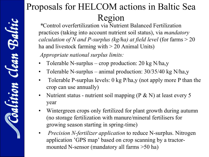### Proposals for HELCOM actions in Baltic Sea Region

*\**Control overfertilization via Nutrient Balanced Fertilization practices (taking into account nutrient soil status), via *mandatory calculation of N and P-surplus (kg/ha) at field level* (for farms > 20 ha and livestock farming with > 20 Animal Units)

*Appropriate national surplus limits:*

- Tolerable N-surplus crop production: 20 kg N/ha,y
- Tolerable N-surplus animal production:  $30/35/40$  kg N/ha,y
- Tolerable P-surplus levels: 0 kg P/ha,y (not apply more P than the crop can use annually)
- Nutrient status nutrient soil mapping ( $P \& N$ ) at least every 5 year
- Wintergreen crops only fertilized for plant growth during autumn (no storage fertilization with manure/mineral fertilisers for growing season starting in spring-time)
- *Precision N-fertilizer application* to reduce N-surplus. Nitrogen application 'GPS map' based on crop scanning by a tractormounted N-sensor (mandatory all farms >50 ha)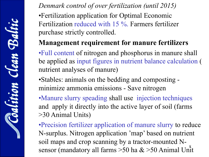*Denmark control of over fertilization (until 2015)* •Fertilization application for Optimal Economic Fertilization reduced with 15 %. Farmers fertilizer purchase strictly controlled.

#### **Management requirement for manure fertilizers**

•Full content of nitrogen and phosphorus in manure shall be applied as input figures in nutrient balance calculation ( nutrient analyses of manure)

•Stables: animals on the bedding and composting minimize ammonia emissions - Save nitrogen

•Manure slurry speading shall use injection techniques and apply it directly into the active layer of soil (farms >30 Animal Units)

sensor (mandatory all farms > 50 ha & > 50 Animal Unit •Precision fertilizer application of manure slurry to reduce N-surplus. Nitrogen application 'map' based on nutrient soil maps and crop scanning by a tractor-mounted N-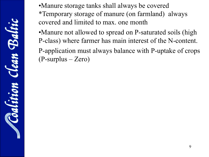lean Balti altitic

•Manure storage tanks shall always be covered \*Temporary storage of manure (on farmland) always covered and limited to max. one month

•Manure not allowed to spread on P-saturated soils (high P-class) where farmer has main interest of the N-content. P-application must always balance with P-uptake of crops (P-surplus – Zero)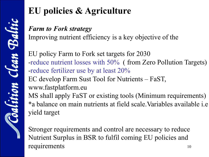### **EU policies & Agriculture**

#### *Farm to Fork strategy*

Improving nutrient efficiency is a key objective of the

EU policy Farm to Fork set targets for 2030 -reduce nutrient losses with 50% ( from Zero Pollution Targets) -reduce fertilizer use by at least 20% EC develop Farm Sust Tool for Nutrients – FaST, www.fastplatform.eu MS shall apply FaST or existing tools (Minimum requirements) \*a balance on main nutrients at field scale.Variables available i.e yield target

10 Stronger requirements and control are necessary to reduce Nutrient Surplus in BSR to fulfil coming EU policies and requirements